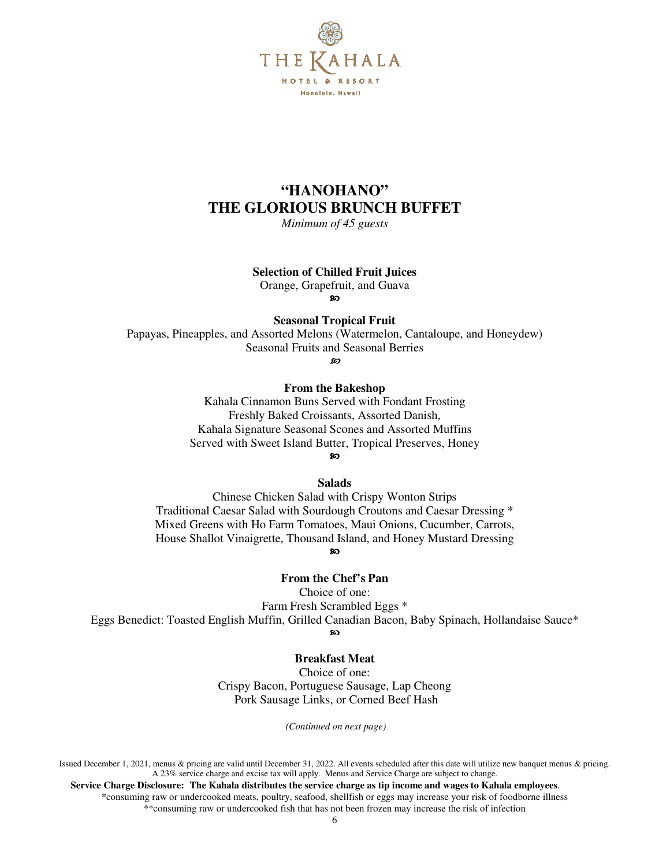

## **"HANOHANO" THE GLORIOUS BRUNCH BUFFET**

*Minimum of 45 guests* 

#### **Selection of Chilled Fruit Juices**

Orange, Grapefruit, and Guava

ဢ

**Seasonal Tropical Fruit** 

Papayas, Pineapples, and Assorted Melons (Watermelon, Cantaloupe, and Honeydew) Seasonal Fruits and Seasonal Berries

m.

#### **From the Bakeshop**

Kahala Cinnamon Buns Served with Fondant Frosting Freshly Baked Croissants, Assorted Danish, Kahala Signature Seasonal Scones and Assorted Muffins Served with Sweet Island Butter, Tropical Preserves, Honey  $\infty$ 

**Salads** 

Chinese Chicken Salad with Crispy Wonton Strips Traditional Caesar Salad with Sourdough Croutons and Caesar Dressing \* Mixed Greens with Ho Farm Tomatoes, Maui Onions, Cucumber, Carrots, House Shallot Vinaigrette, Thousand Island, and Honey Mustard Dressing ഩ

## **From the Chef's Pan**

Choice of one:

Farm Fresh Scrambled Eggs \* Eggs Benedict: Toasted English Muffin, Grilled Canadian Bacon, Baby Spinach, Hollandaise Sauce\* ഩ

#### **Breakfast Meat**

Choice of one: Crispy Bacon, Portuguese Sausage, Lap Cheong Pork Sausage Links, or Corned Beef Hash

 *(Continued on next page)* 

Issued December 1, 2021, menus & pricing are valid until December 31, 2022. All events scheduled after this date will utilize new banquet menus & pricing. A 23% service charge and excise tax will apply. Menus and Service Charge are subject to change.

 **Service Charge Disclosure: The Kahala distributes the service charge as tip income and wages to Kahala employees**. \*consuming raw or undercooked meats, poultry, seafood, shellfish or eggs may increase your risk of foodborne illness \*\*consuming raw or undercooked fish that has not been frozen may increase the risk of infection